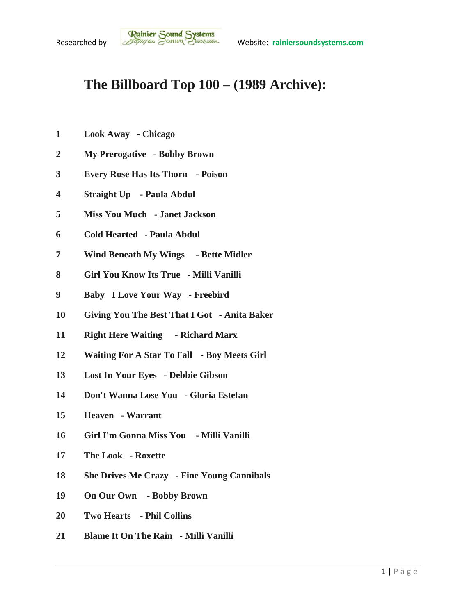## **The Billboard Top 100 – (1989 Archive):**

- **Look Away - Chicago**
- **My Prerogative - Bobby Brown**
- **Every Rose Has Its Thorn - Poison**
- **Straight Up - Paula Abdul**
- **Miss You Much - Janet Jackson**
- **Cold Hearted - Paula Abdul**
- **Wind Beneath My Wings - Bette Midler**
- **Girl You Know Its True - Milli Vanilli**
- **Baby I Love Your Way - Freebird**
- **Giving You The Best That I Got - Anita Baker**
- **Right Here Waiting - Richard Marx**
- **Waiting For A Star To Fall - Boy Meets Girl**
- **Lost In Your Eyes - Debbie Gibson**
- **Don't Wanna Lose You - Gloria Estefan**
- **Heaven - Warrant**
- **Girl I'm Gonna Miss You - Milli Vanilli**
- **The Look - Roxette**
- **She Drives Me Crazy - Fine Young Cannibals**
- **On Our Own - Bobby Brown**
- **Two Hearts - Phil Collins**
- **Blame It On The Rain - Milli Vanilli**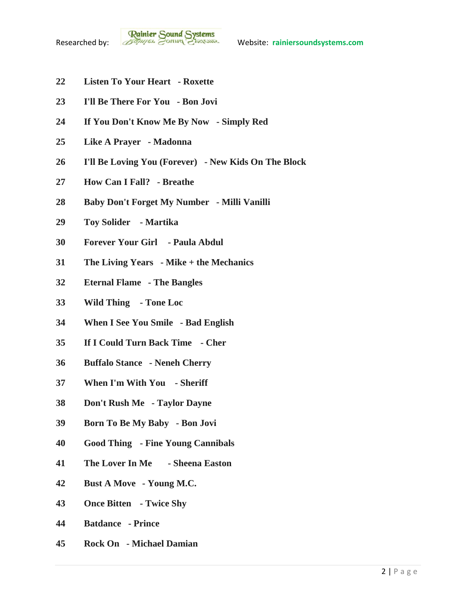- **Listen To Your Heart - Roxette**
- **I'll Be There For You - Bon Jovi**
- **If You Don't Know Me By Now - Simply Red**
- **Like A Prayer - Madonna**
- **I'll Be Loving You (Forever) - New Kids On The Block**
- **How Can I Fall? - Breathe**
- **Baby Don't Forget My Number - Milli Vanilli**
- **Toy Solider - Martika**
- **Forever Your Girl - Paula Abdul**
- **The Living Years - Mike + the Mechanics**
- **Eternal Flame - The Bangles**
- **Wild Thing - Tone Loc**
- **When I See You Smile - Bad English**
- **If I Could Turn Back Time - Cher**
- **Buffalo Stance - Neneh Cherry**
- **When I'm With You - Sheriff**
- **Don't Rush Me - Taylor Dayne**
- **Born To Be My Baby - Bon Jovi**
- **Good Thing - Fine Young Cannibals**
- **The Lover In Me - Sheena Easton**
- **Bust A Move - Young M.C.**
- **Once Bitten - Twice Shy**
- **Batdance - Prince**
- **Rock On - Michael Damian**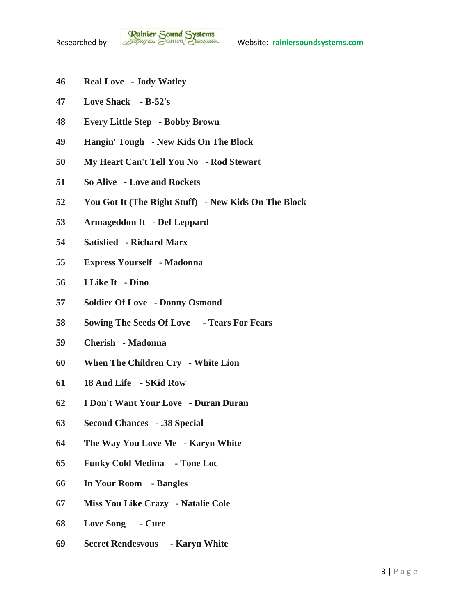- **Real Love - Jody Watley**
- **Love Shack - B-52's**
- **Every Little Step - Bobby Brown**
- **Hangin' Tough - New Kids On The Block**
- **My Heart Can't Tell You No - Rod Stewart**
- **So Alive - Love and Rockets**
- **You Got It (The Right Stuff) - New Kids On The Block**
- **Armageddon It - Def Leppard**
- **Satisfied - Richard Marx**
- **Express Yourself - Madonna**
- **I Like It - Dino**
- **Soldier Of Love - Donny Osmond**
- **Sowing The Seeds Of Love - Tears For Fears**
- **Cherish - Madonna**
- **When The Children Cry - White Lion**
- **18 And Life - SKid Row**
- **I Don't Want Your Love - Duran Duran**
- **Second Chances - .38 Special**
- **The Way You Love Me - Karyn White**
- **Funky Cold Medina - Tone Loc**
- **In Your Room - Bangles**
- **Miss You Like Crazy - Natalie Cole**
- **Love Song - Cure**
- **Secret Rendesvous - Karyn White**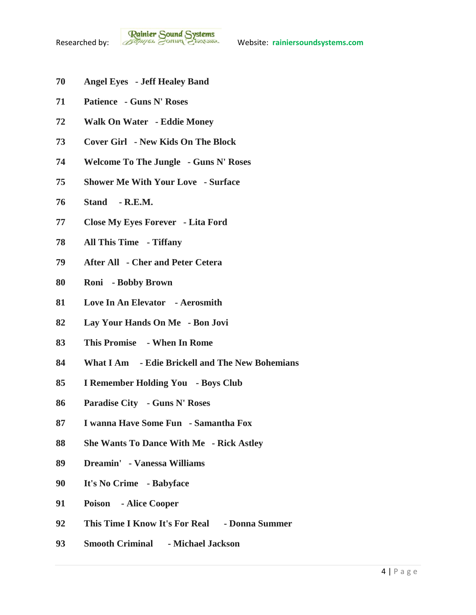- **Angel Eyes - Jeff Healey Band**
- **Patience - Guns N' Roses**
- **Walk On Water - Eddie Money**
- **Cover Girl - New Kids On The Block**
- **Welcome To The Jungle - Guns N' Roses**
- **Shower Me With Your Love - Surface**
- **Stand - R.E.M.**
- **Close My Eyes Forever - Lita Ford**
- **All This Time - Tiffany**
- **After All - Cher and Peter Cetera**
- **Roni - Bobby Brown**
- **Love In An Elevator - Aerosmith**
- **Lay Your Hands On Me - Bon Jovi**
- **This Promise - When In Rome**
- **What I Am - Edie Brickell and The New Bohemians**
- **I Remember Holding You - Boys Club**
- **Paradise City - Guns N' Roses**
- **I wanna Have Some Fun - Samantha Fox**
- **She Wants To Dance With Me - Rick Astley**
- **Dreamin' - Vanessa Williams**
- **It's No Crime - Babyface**
- **Poison - Alice Cooper**
- **This Time I Know It's For Real - Donna Summer**
- **Smooth Criminal - Michael Jackson**